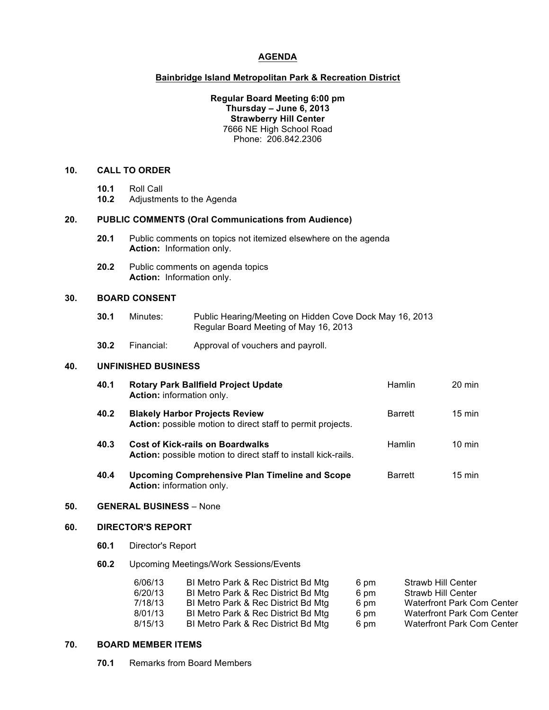# **AGENDA**

### **Bainbridge Island Metropolitan Park & Recreation District**

## **Regular Board Meeting 6:00 pm Thursday – June 6, 2013 Strawberry Hill Center** 7666 NE High School Road Phone: 206.842.2306

### **10. CALL TO ORDER**

- **10.1** Roll Call
- **10.2** Adjustments to the Agenda

#### **20. PUBLIC COMMENTS (Oral Communications from Audience)**

- **20.1** Public comments on topics not itemized elsewhere on the agenda **Action:** Information only.
- **20.2** Public comments on agenda topics **Action:** Information only.

## **30. BOARD CONSENT**

- **30.1** Minutes: Public Hearing/Meeting on Hidden Cove Dock May 16, 2013 Regular Board Meeting of May 16, 2013
- **30.2** Financial: Approval of vouchers and payroll.

### **40. UNFINISHED BUSINESS**

| 40.1 | <b>Rotary Park Ballfield Project Update</b><br>Action: information only.                                         | <b>Hamlin</b>  | $20 \text{ min}$ |
|------|------------------------------------------------------------------------------------------------------------------|----------------|------------------|
| 40.2 | <b>Blakely Harbor Projects Review</b><br>Action: possible motion to direct staff to permit projects.             | <b>Barrett</b> | $15 \text{ min}$ |
| 40.3 | <b>Cost of Kick-rails on Boardwalks</b><br><b>Action:</b> possible motion to direct staff to install kick-rails. | <b>Hamlin</b>  | $10 \text{ min}$ |
| 40.4 | <b>Upcoming Comprehensive Plan Timeline and Scope</b><br>Action: information only.                               | <b>Barrett</b> | $15 \text{ min}$ |

#### **50. GENERAL BUSINESS** – None

# **60. DIRECTOR'S REPORT**

- **60.1** Director's Report
- **60.2** Upcoming Meetings/Work Sessions/Events

| 6/06/13 | BI Metro Park & Rec District Bd Mtg | 6 pm | <b>Strawb Hill Center</b>         |
|---------|-------------------------------------|------|-----------------------------------|
| 6/20/13 | BI Metro Park & Rec District Bd Mtg | 6 pm | <b>Strawb Hill Center</b>         |
| 7/18/13 | BI Metro Park & Rec District Bd Mtg | 6 pm | <b>Waterfront Park Com Center</b> |
| 8/01/13 | BI Metro Park & Rec District Bd Mtg | 6 pm | <b>Waterfront Park Com Center</b> |
| 8/15/13 | BI Metro Park & Rec District Bd Mtg | 6 pm | <b>Waterfront Park Com Center</b> |

#### **70. BOARD MEMBER ITEMS**

**70.1** Remarks from Board Members